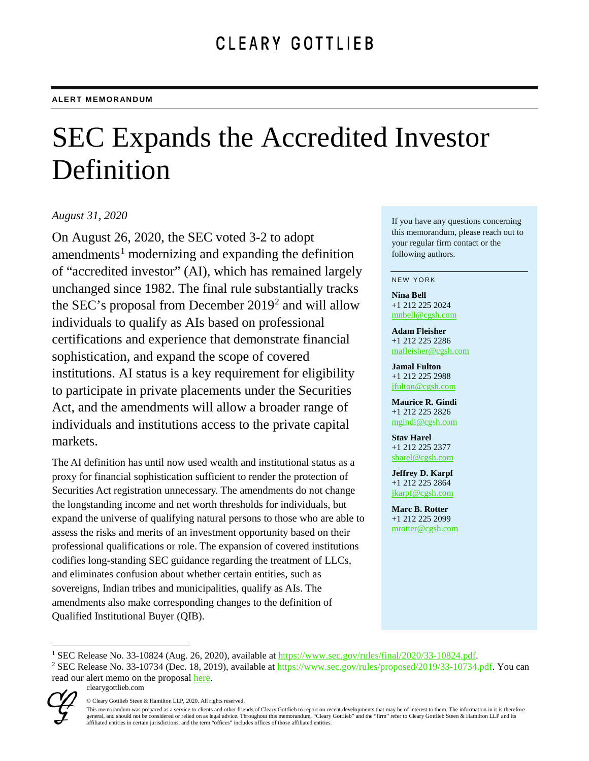# SEC Expands the Accredited Investor Definition

### *August 31, 2020*

On August 26, 2020, the SEC voted 3-2 to adopt amendments<sup>[1](#page-0-0)</sup> modernizing and expanding the definition of "accredited investor" (AI), which has remained largely unchanged since 1982. The final rule substantially tracks the SEC's proposal from December 2019[2](#page-0-1) and will allow individuals to qualify as AIs based on professional certifications and experience that demonstrate financial sophistication, and expand the scope of covered institutions. AI status is a key requirement for eligibility to participate in private placements under the Securities Act, and the amendments will allow a broader range of individuals and institutions access to the private capital markets.

The AI definition has until now used wealth and institutional status as a proxy for financial sophistication sufficient to render the protection of Securities Act registration unnecessary. The amendments do not change the longstanding income and net worth thresholds for individuals, but expand the universe of qualifying natural persons to those who are able to assess the risks and merits of an investment opportunity based on their professional qualifications or role. The expansion of covered institutions codifies long-standing SEC guidance regarding the treatment of LLCs, and eliminates confusion about whether certain entities, such as sovereigns, Indian tribes and municipalities, qualify as AIs. The amendments also make corresponding changes to the definition of Qualified Institutional Buyer (QIB).

If you have any questions concerning this memorandum, please reach out to your regular firm contact or the following authors.

#### NEW YORK

**Nina Bell** +1 212 225 2024 [mnbell@cgsh.com](mailto:mnbell@cgsh.com)

**Adam Fleisher** +1 212 225 2286 [mafleisher@cgsh.com](mailto:mafleisher@cgsh.com)

**Jamal Fulton** +1 212 225 2988 [jfulton@cgsh.com](mailto:jfulton@cgsh.com)

**Maurice R. Gindi** +1 212 225 2826 [mgindi@cgsh.com](mailto:mgindi@cgsh.com)

**Stav Harel** +1 212 225 2377 [sharel@cgsh.com](mailto:sharel@cgsh.com)

**Jeffrey D. Karpf** +1 212 225 2864 [jkarpf@cgsh.com](mailto:jkarpf@cgsh.com)

**Marc B. Rotter** +1 212 225 2099 [mrotter@cgsh.com](mailto:mrotter@cgsh.com)

clearygottlieb.com

This memorandum was prepared as a service to clients and other friends of Cleary Gottlieb to report on recent developments that may be of interest to them. The information in it is therefore general, and should not be considered or relied on as legal advice. Throughout this memorandum, "Cleary Gottlieb" and the "firm" refer to Cleary Gottlieb Steen & Hamilton LLP and its<br>affiliated entities in certain jurisdic



<span id="page-0-0"></span><sup>&</sup>lt;sup>1</sup> SEC Release No. 33-10824 (Aug. 26, 2020), available at [https://www.sec.gov/rules/final/2020/33-10824.pdf.](https://www.sec.gov/rules/final/2020/33-10824.pdf)

<span id="page-0-1"></span><sup>&</sup>lt;sup>2</sup> SEC Release No. 33-10734 (Dec. 18, 2019), available at [https://www.sec.gov/rules/proposed/2019/33-10734.pdf.](https://www.sec.gov/rules/proposed/2019/33-10734.pdf) You can read our alert memo on the proposal [here.](https://www.clearygottlieb.com/-/media/files/alert-memos-2019/sec-proposes-amendments-to-the-definition-of-accredited-investor.pdf)

<sup>©</sup> Cleary Gottlieb Steen & Hamilton LLP, 2020. All rights reserved.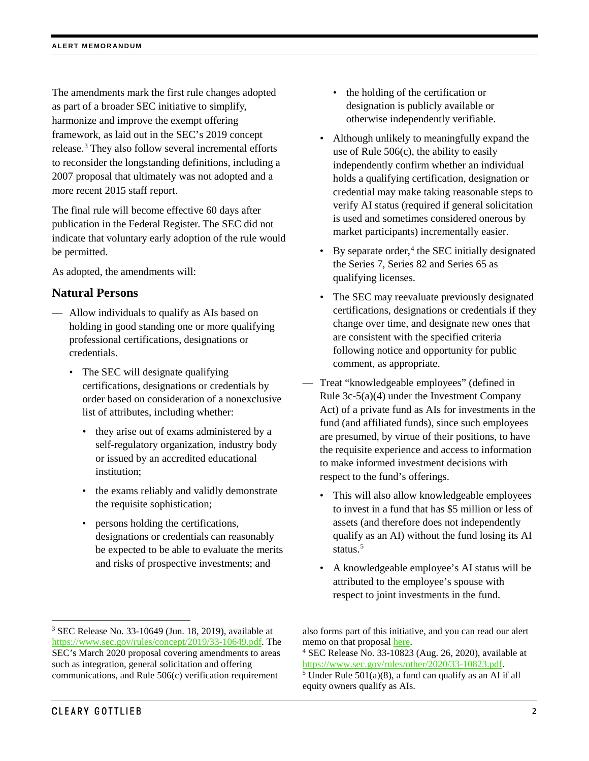The amendments mark the first rule changes adopted as part of a broader SEC initiative to simplify, harmonize and improve the exempt offering framework, as laid out in the SEC's 2019 concept release.[3](#page-1-0) They also follow several incremental efforts to reconsider the longstanding definitions, including a 2007 proposal that ultimately was not adopted and a more recent 2015 staff report.

The final rule will become effective 60 days after publication in the Federal Register. The SEC did not indicate that voluntary early adoption of the rule would be permitted.

As adopted, the amendments will:

#### **Natural Persons**

- Allow individuals to qualify as AIs based on holding in good standing one or more qualifying professional certifications, designations or credentials.
	- The SEC will designate qualifying certifications, designations or credentials by order based on consideration of a nonexclusive list of attributes, including whether:
		- they arise out of exams administered by a self-regulatory organization, industry body or issued by an accredited educational institution;
		- the exams reliably and validly demonstrate the requisite sophistication;
		- persons holding the certifications, designations or credentials can reasonably be expected to be able to evaluate the merits and risks of prospective investments; and
- the holding of the certification or designation is publicly available or otherwise independently verifiable.
- Although unlikely to meaningfully expand the use of Rule 506(c), the ability to easily independently confirm whether an individual holds a qualifying certification, designation or credential may make taking reasonable steps to verify AI status (required if general solicitation is used and sometimes considered onerous by market participants) incrementally easier.
- By separate order, $4$  the SEC initially designated the Series 7, Series 82 and Series 65 as qualifying licenses.
- The SEC may reevaluate previously designated certifications, designations or credentials if they change over time, and designate new ones that are consistent with the specified criteria following notice and opportunity for public comment, as appropriate.
- Treat "knowledgeable employees" (defined in Rule 3c-5(a)(4) under the Investment Company Act) of a private fund as AIs for investments in the fund (and affiliated funds), since such employees are presumed, by virtue of their positions, to have the requisite experience and access to information to make informed investment decisions with respect to the fund's offerings.
	- This will also allow knowledgeable employees to invest in a fund that has \$5 million or less of assets (and therefore does not independently qualify as an AI) without the fund losing its AI status.<sup>[5](#page-1-2)</sup>
	- A knowledgeable employee's AI status will be attributed to the employee's spouse with respect to joint investments in the fund.

<span id="page-1-2"></span><span id="page-1-1"></span><span id="page-1-0"></span> <sup>3</sup> SEC Release No. 33-10649 (Jun. 18, 2019), available at [https://www.sec.gov/rules/concept/2019/33-10649.pdf.](https://www.sec.gov/rules/concept/2019/33-10649.pdf) The SEC's March 2020 proposal covering amendments to areas such as integration, general solicitation and offering communications, and Rule 506(c) verification requirement

also forms part of this initiative, and you can read our alert memo on that proposal [here.](https://www.clearygottlieb.com/-/media/files/alert-memos-2020/sec-proposal-improving-access-to-capital-in-private-markets.pdf)

<sup>4</sup> SEC Release No. 33-10823 (Aug. 26, 2020), available at [https://www.sec.gov/rules/other/2020/33-10823.pdf.](https://www.sec.gov/rules/other/2020/33-10823.pdf)  $<sup>5</sup>$  Under Rule 501(a)(8), a fund can qualify as an AI if all</sup> equity owners qualify as AIs.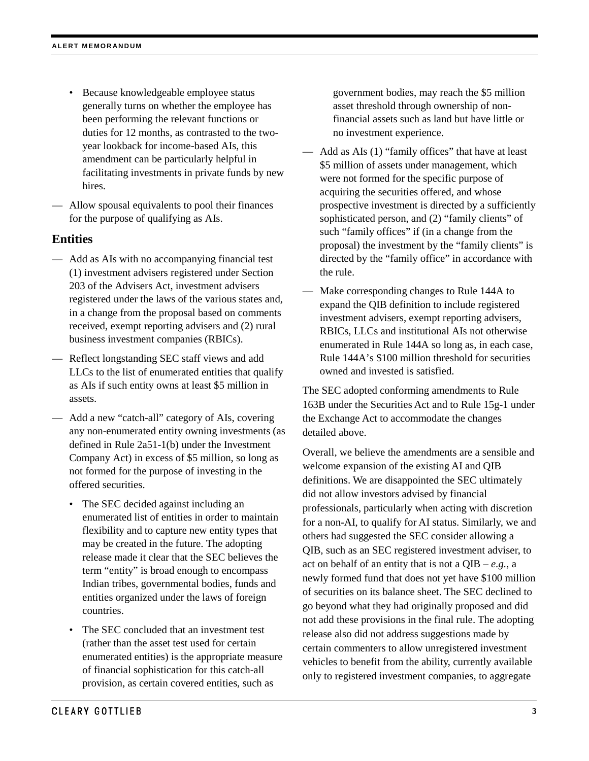- Because knowledgeable employee status generally turns on whether the employee has been performing the relevant functions or duties for 12 months, as contrasted to the twoyear lookback for income-based AIs, this amendment can be particularly helpful in facilitating investments in private funds by new hires.
- Allow spousal equivalents to pool their finances for the purpose of qualifying as AIs.

## **Entities**

- Add as AIs with no accompanying financial test (1) investment advisers registered under Section 203 of the Advisers Act, investment advisers registered under the laws of the various states and, in a change from the proposal based on comments received, exempt reporting advisers and (2) rural business investment companies (RBICs).
- Reflect longstanding SEC staff views and add LLCs to the list of enumerated entities that qualify as AIs if such entity owns at least \$5 million in assets.
- Add a new "catch-all" category of AIs, covering any non-enumerated entity owning investments (as defined in Rule 2a51-1(b) under the Investment Company Act) in excess of \$5 million, so long as not formed for the purpose of investing in the offered securities.
	- The SEC decided against including an enumerated list of entities in order to maintain flexibility and to capture new entity types that may be created in the future. The adopting release made it clear that the SEC believes the term "entity" is broad enough to encompass Indian tribes, governmental bodies, funds and entities organized under the laws of foreign countries.
	- The SEC concluded that an investment test (rather than the asset test used for certain enumerated entities) is the appropriate measure of financial sophistication for this catch-all provision, as certain covered entities, such as

government bodies, may reach the \$5 million asset threshold through ownership of nonfinancial assets such as land but have little or no investment experience.

- Add as AIs (1) "family offices" that have at least \$5 million of assets under management, which were not formed for the specific purpose of acquiring the securities offered, and whose prospective investment is directed by a sufficiently sophisticated person, and (2) "family clients" of such "family offices" if (in a change from the proposal) the investment by the "family clients" is directed by the "family office" in accordance with the rule.
- Make corresponding changes to Rule 144A to expand the QIB definition to include registered investment advisers, exempt reporting advisers, RBICs, LLCs and institutional AIs not otherwise enumerated in Rule 144A so long as, in each case, Rule 144A's \$100 million threshold for securities owned and invested is satisfied.

The SEC adopted conforming amendments to Rule 163B under the Securities Act and to Rule 15g-1 under the Exchange Act to accommodate the changes detailed above.

Overall, we believe the amendments are a sensible and welcome expansion of the existing AI and QIB definitions. We are disappointed the SEC ultimately did not allow investors advised by financial professionals, particularly when acting with discretion for a non-AI, to qualify for AI status. Similarly, we and others had suggested the SEC consider allowing a QIB, such as an SEC registered investment adviser, to act on behalf of an entity that is not a QIB – *e.g.,* a newly formed fund that does not yet have \$100 million of securities on its balance sheet. The SEC declined to go beyond what they had originally proposed and did not add these provisions in the final rule. The adopting release also did not address suggestions made by certain commenters to allow unregistered investment vehicles to benefit from the ability, currently available only to registered investment companies, to aggregate